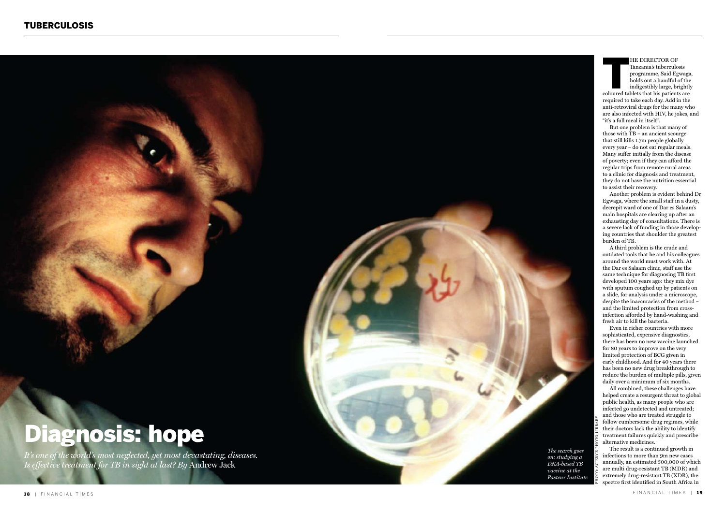## Diagnosis: hope

*It's one of the world's most neglected, yet most devastating, diseases. Is effective treatment for TB in sight at last? By* Andrew Jack



HE DIRECTOR OF<br>Tanzania's tuberculosis<br>programme, Said Egwaga<br>holds out a handful of the<br>indigestibly large, brightly<br>coloured tablets that his patients are programme, Said Egwaga, holds out a handful of the indigestibly large, brightly

required to take each day. Add in the anti-retroviral drugs for the many who are also infected with HIV, he jokes, and "it's a full meal in itself".

But one problem is that many of those with TB – an ancient scourge that still kills 1.7m people globally every year – do not eat regular meals. Many suffer initially from the disease of poverty; even if they can afford the regular trips from remote rural areas to a clinic for diagnosis and treatment, they do not have the nutrition essential to assist their recovery.

Even in richer countries with more sophisticated, expensive diagnostics, there has been no new vaccine launched for 80 years to improve on the very limited protection of B CG given in early childhood. And for 40 years there has been no new drug breakthrough to reduce the burden of multiple pills, given daily over a minimum of six months.

Another problem is evident behind Dr Egwaga, where the small staff in a dusty, decrepit ward of one of Dar es Salaam's main hospitals are clearing up after an exhausting day of consultations. There is a severe lack of funding in those develop ing countries that shoulder the greatest burden of TB.

The result is a continued growth in infections to more than 9m new cases annually, an estimated 500,000 of which are multi drug-resistant TB (MDR) and extremely drug-resistant TB (XDR), the spectre first identified in South Africa in

A third problem is the crude and outdated tools that he and his colleagues around the world must work with. At the Dar es Salaam clinic, staff use the same technique for diagnosing TB first developed 100 years ago: they mix dye with sputum coughed up by patients on a slide, for analysis under a microscope, despite the inaccuracies of the method – and the limited protection from crossinfection afforded by hand-washing and

All combined, these challenges have helped create a resurgent threat to global public health, as many people who are infected go undetected and untreated; and those who are treated struggle to follow cumbersome drug regimes, while their doctors lack the ability to identify treatment failures quickly and prescribe

*The search goes on: studying a DNA-based TB vaccine at the Pasteur Institute* photo: science photo library